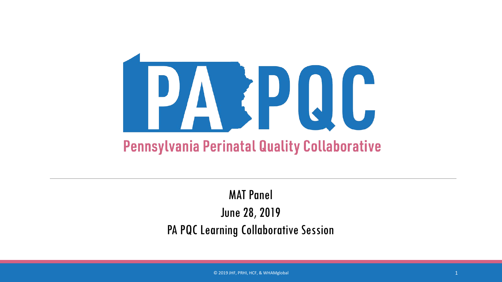

#### MAT Panel June 28, 2019 PA PQC Learning Collaborative Session

© 2019 JHF, PRHI, HCF, & WHAMglobal 1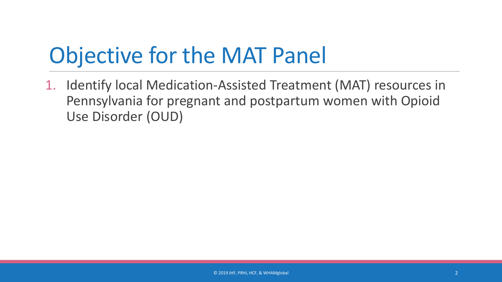## Objective for the MAT Panel

1. Identify local Medication-Assisted Treatment (MAT) resources in Pennsylvania for pregnant and postpartum women with Opioid Use Disorder (OUD)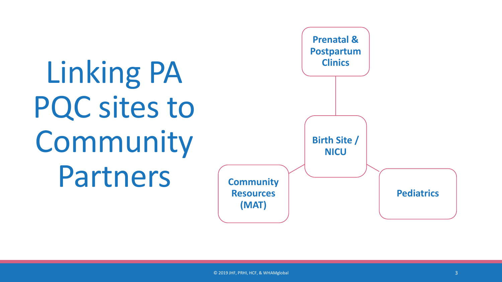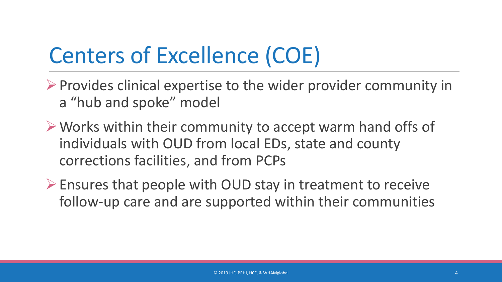## Centers of Excellence (COE)

- $\triangleright$  Provides clinical expertise to the wider provider community in a "hub and spoke" model
- Works within their community to accept warm hand offs of individuals with OUD from local EDs, state and county corrections facilities, and from PCPs
- Ensures that people with OUD stay in treatment to receive follow-up care and are supported within their communities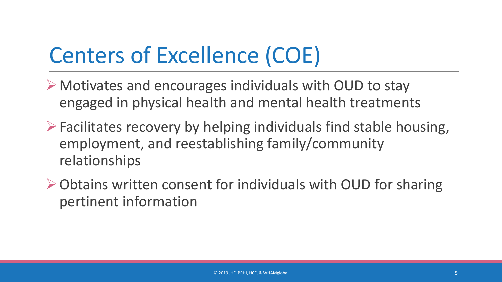## Centers of Excellence (COE)

- Motivates and encourages individuals with OUD to stay engaged in physical health and mental health treatments
- $\triangleright$  Facilitates recovery by helping individuals find stable housing, employment, and reestablishing family/community relationships
- Obtains written consent for individuals with OUD for sharing pertinent information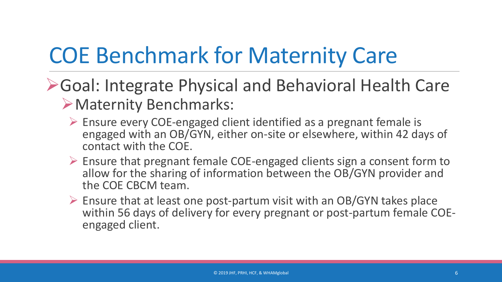## COE Benchmark for Maternity Care

- Goal: Integrate Physical and Behavioral Health Care Maternity Benchmarks:
	- $\triangleright$  Ensure every COE-engaged client identified as a pregnant female is engaged with an OB/GYN, either on-site or elsewhere, within 42 days of contact with the COE.
	- $\triangleright$  Ensure that pregnant female COE-engaged clients sign a consent form to allow for the sharing of information between the OB/GYN provider and the COE CBCM team.
	- $\triangleright$  Ensure that at least one post-partum visit with an OB/GYN takes place within 56 days of delivery for every pregnant or post-partum female COE-<br>engaged client.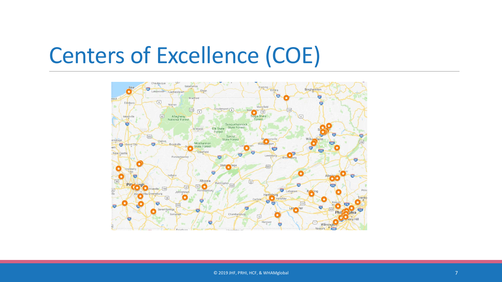## Centers of Excellence (COE)

![](_page_6_Picture_1.jpeg)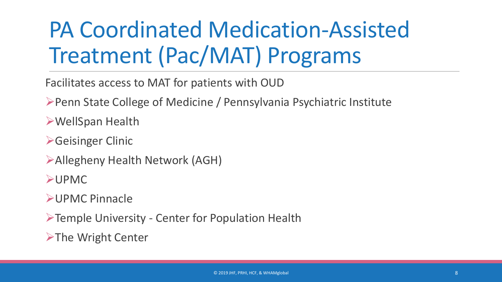## PA Coordinated Medication-Assisted Treatment (Pac/MAT) Programs

Facilitates access to MAT for patients with OUD

Penn State College of Medicine / Pennsylvania Psychiatric Institute

WellSpan Health

**≻Geisinger Clinic** 

Allegheny Health Network (AGH)

UPMC

UPMC Pinnacle

Temple University - Center for Population Health

 $\triangleright$ The Wright Center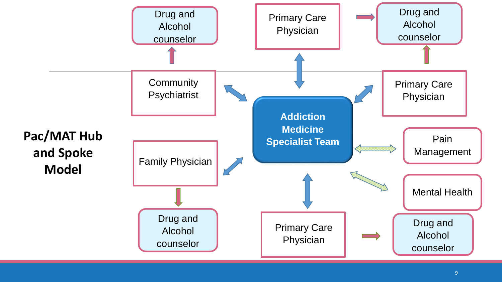![](_page_8_Figure_0.jpeg)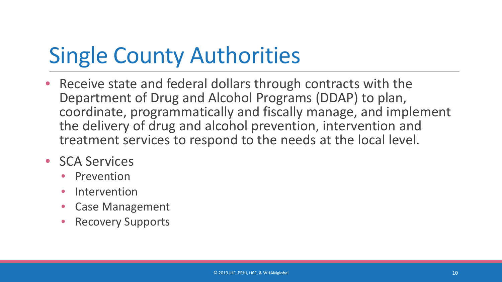# Single County Authorities

• Receive state and federal dollars through contracts with the Department of Drug and Alcohol Programs (DDAP) to plan, coordinate, programmatically and fiscally manage, and implement the delivery of drug and alcohol prevention, intervention and treatment services to respond to the needs at the local level.

#### **SCA Services**

- **Prevention**
- **Intervention**
- Case Management
- Recovery Supports